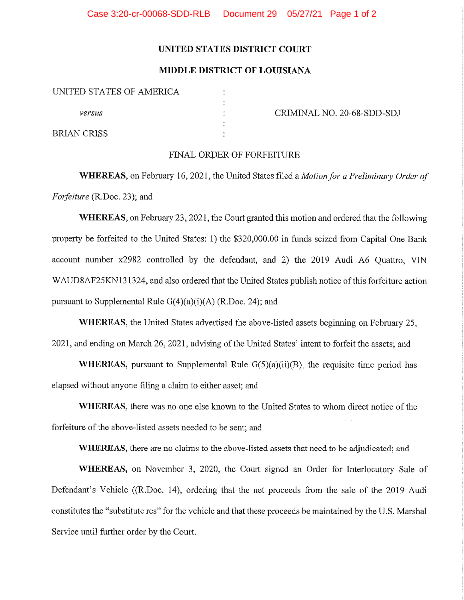## UNITED STATES DISTRICT COURT

## MIDDLE DISTRICT OF LOUISIANA

|             | UNITED STATES OF AMERICA |  |
|-------------|--------------------------|--|
| versus      |                          |  |
| BRIAN CRISS |                          |  |

CRIMINAL NO. 20-68-SDD-SDJ

## FINAL ORDER OF FORFEITURE

WHEREAS, on February 16, 2021, the United States filed a *Motion for a Preliminary Order of* Forfeiture (R.Doc. 23); and

WHEREAS, on February 23, 2021, the Court granted this motion and ordered that the following property be forfeited to the United States: 1) the \$320,000.00 in funds seized from Capital One Bank account number x2982 controlled by the defendant, and 2) the 2019 Audi A6 Quattro, VIN WAUD8AF25KN 131324, and also ordered that the United States publish notice of this forfeiture action pursuant to Supplemental Rule G(4)(a)(i)(A) (R.Doc. 24); and

WHEREAS, the United States advertised the above-listed assets beginning on February 25, 2021, and ending on March 26, 2021, advising of the United States' intent to forfeit the assets; and

WHEREAS, pursuant to Supplemental Rule  $G(5)(a)(ii)(B)$ , the requisite time period has elapsed without anyone filing a claim to either asset; and

WHEREAS, there was no one else known to the United States to whom direct notice of the forfeiture of the above-listed assets needed to be sent; and

WHEREAS, there are no claims to the above-listed assets that need to be adjudicated; and

WHEREAS, on November 3, 2020, the Court signed an Order for Interlocutory Sale of Defendant's Vehicle ((R.Doc. 14), ordering that the net proceeds from the sale of the 2019 Audi constitutes the "substitute res" for the vehicle and that these proceeds be maintained by the U.S. Marshal Service until further order by the Court.